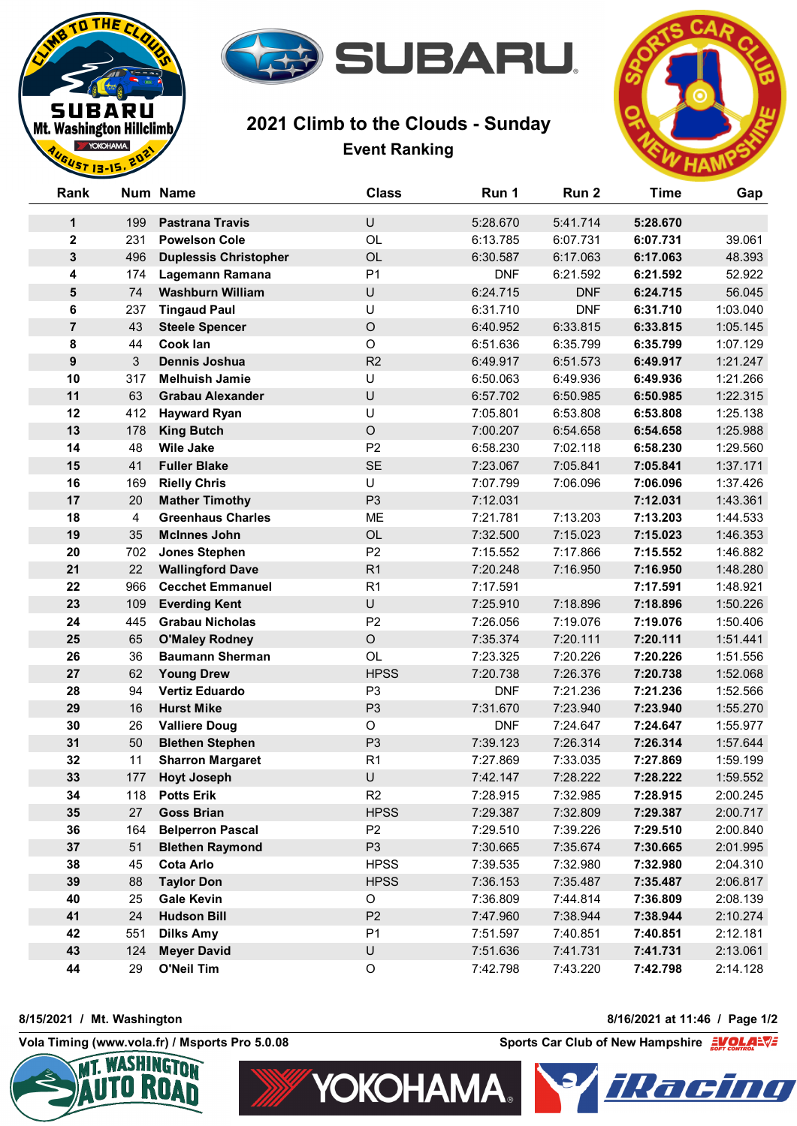

## **2021 Climb to the Clouds - Sunday Event Ranking**



| Rank             |     | Num Name                     | <b>Class</b>   | Run 1      | Run <sub>2</sub> | <b>Time</b> | Gap      |
|------------------|-----|------------------------------|----------------|------------|------------------|-------------|----------|
| 1                | 199 | <b>Pastrana Travis</b>       | U              | 5:28.670   | 5:41.714         | 5:28.670    |          |
| $\mathbf 2$      | 231 | <b>Powelson Cole</b>         | OL             | 6:13.785   | 6:07.731         | 6:07.731    | 39.061   |
| $\mathbf{3}$     | 496 | <b>Duplessis Christopher</b> | OL             | 6:30.587   | 6:17.063         | 6:17.063    | 48.393   |
| 4                | 174 | Lagemann Ramana              | P <sub>1</sub> | <b>DNF</b> | 6:21.592         | 6:21.592    | 52.922   |
| 5                | 74  | <b>Washburn William</b>      | U              | 6:24.715   | <b>DNF</b>       | 6:24.715    | 56.045   |
| 6                | 237 | <b>Tingaud Paul</b>          | U              | 6:31.710   | <b>DNF</b>       | 6:31.710    | 1:03.040 |
| $\overline{7}$   | 43  | <b>Steele Spencer</b>        | $\mathsf O$    | 6:40.952   | 6:33.815         | 6:33.815    | 1:05.145 |
| 8                | 44  | Cook lan                     | $\circ$        | 6:51.636   | 6:35.799         | 6:35.799    | 1:07.129 |
| $\boldsymbol{9}$ | 3   | <b>Dennis Joshua</b>         | R2             | 6:49.917   | 6:51.573         | 6:49.917    | 1:21.247 |
| 10               | 317 | <b>Melhuish Jamie</b>        | U              | 6:50.063   | 6:49.936         | 6:49.936    | 1:21.266 |
| 11               | 63  | <b>Grabau Alexander</b>      | $\sf U$        | 6:57.702   | 6:50.985         | 6:50.985    | 1:22.315 |
| 12               | 412 | <b>Hayward Ryan</b>          | U              | 7:05.801   | 6:53.808         | 6:53.808    | 1:25.138 |
| 13               | 178 | <b>King Butch</b>            | $\mathsf O$    | 7:00.207   | 6:54.658         | 6:54.658    | 1:25.988 |
| 14               | 48  | <b>Wile Jake</b>             | P <sub>2</sub> | 6:58.230   | 7:02.118         | 6:58.230    | 1:29.560 |
| 15               | 41  | <b>Fuller Blake</b>          | <b>SE</b>      | 7:23.067   | 7:05.841         | 7:05.841    | 1:37.171 |
| 16               | 169 | <b>Rielly Chris</b>          | U              | 7:07.799   | 7:06.096         | 7:06.096    | 1:37.426 |
| 17               | 20  | <b>Mather Timothy</b>        | P <sub>3</sub> | 7:12.031   |                  | 7:12.031    | 1:43.361 |
| 18               | 4   | <b>Greenhaus Charles</b>     | <b>ME</b>      | 7:21.781   | 7:13.203         | 7:13.203    | 1:44.533 |
| 19               | 35  | <b>McInnes John</b>          | OL             | 7:32.500   | 7:15.023         | 7:15.023    | 1:46.353 |
| 20               | 702 | <b>Jones Stephen</b>         | P <sub>2</sub> | 7:15.552   | 7:17.866         | 7:15.552    | 1:46.882 |
| 21               | 22  | <b>Wallingford Dave</b>      | R <sub>1</sub> | 7:20.248   | 7:16.950         | 7:16.950    | 1:48.280 |
| 22               | 966 | <b>Cecchet Emmanuel</b>      | R <sub>1</sub> | 7:17.591   |                  | 7:17.591    | 1:48.921 |
| 23               | 109 | <b>Everding Kent</b>         | U              | 7:25.910   | 7:18.896         | 7:18.896    | 1:50.226 |
| 24               | 445 | <b>Grabau Nicholas</b>       | P <sub>2</sub> | 7:26.056   | 7:19.076         | 7:19.076    | 1:50.406 |
| 25               | 65  | <b>O'Maley Rodney</b>        | $\circ$        | 7:35.374   | 7:20.111         | 7:20.111    | 1:51.441 |
| 26               | 36  | <b>Baumann Sherman</b>       | OL             | 7:23.325   | 7:20.226         | 7:20.226    | 1:51.556 |
| 27               | 62  | <b>Young Drew</b>            | <b>HPSS</b>    | 7:20.738   | 7:26.376         | 7:20.738    | 1:52.068 |
| 28               | 94  | <b>Vertiz Eduardo</b>        | P <sub>3</sub> | <b>DNF</b> | 7:21.236         | 7:21.236    | 1:52.566 |
| 29               | 16  | <b>Hurst Mike</b>            | P <sub>3</sub> | 7:31.670   | 7:23.940         | 7:23.940    | 1:55.270 |
| 30               | 26  | <b>Valliere Doug</b>         | $\circ$        | <b>DNF</b> | 7:24.647         | 7:24.647    | 1:55.977 |
| 31               | 50  | <b>Blethen Stephen</b>       | P <sub>3</sub> | 7:39.123   | 7:26.314         | 7:26.314    | 1:57.644 |
| 32               | 11  | <b>Sharron Margaret</b>      | R <sub>1</sub> | 7:27.869   | 7:33.035         | 7:27.869    | 1:59.199 |
| 33               | 177 | <b>Hoyt Joseph</b>           | U              | 7:42.147   | 7:28.222         | 7:28.222    | 1:59.552 |
| 34               | 118 | <b>Potts Erik</b>            | R <sub>2</sub> | 7:28.915   | 7:32.985         | 7:28.915    | 2:00.245 |
| 35               | 27  | <b>Goss Brian</b>            | <b>HPSS</b>    | 7:29.387   | 7:32.809         | 7:29.387    | 2:00.717 |
| 36               | 164 | <b>Belperron Pascal</b>      | P <sub>2</sub> | 7:29.510   | 7:39.226         | 7:29.510    | 2:00.840 |
| 37               | 51  | <b>Blethen Raymond</b>       | P <sub>3</sub> | 7:30.665   | 7:35.674         | 7:30.665    | 2:01.995 |
| 38               | 45  | <b>Cota Arlo</b>             | <b>HPSS</b>    | 7:39.535   | 7:32.980         | 7:32.980    | 2:04.310 |
| 39               | 88  | <b>Taylor Don</b>            | <b>HPSS</b>    | 7:36.153   | 7:35.487         | 7:35.487    | 2:06.817 |
| 40               | 25  | <b>Gale Kevin</b>            | O              | 7:36.809   | 7:44.814         | 7:36.809    | 2:08.139 |
| 41               | 24  | <b>Hudson Bill</b>           | P <sub>2</sub> | 7:47.960   | 7:38.944         | 7:38.944    | 2:10.274 |
| 42               | 551 | <b>Dilks Amy</b>             | P <sub>1</sub> | 7:51.597   | 7:40.851         | 7:40.851    | 2:12.181 |
| 43               | 124 | <b>Meyer David</b>           | $\sf U$        | 7:51.636   | 7:41.731         | 7:41.731    | 2:13.061 |
| 44               | 29  | <b>O'Neil Tim</b>            | $\mathsf O$    | 7:42.798   | 7:43.220         | 7:42.798    | 2:14.128 |

**YOKOHAMA.** 

**8/15/2021 / Mt. Washington 8/16/2021 at 11:46 / Page 1/2**

THE<sub>1</sub>

**BARU** Mt. Washington Hillclimb **VOKOHAMA**  $12.15$ 

SU



**Vola Timing (www.vola.fr) / Msports Pro 5.0.08 Sports Car Club of New Hampshire**  $\frac{1}{2}$